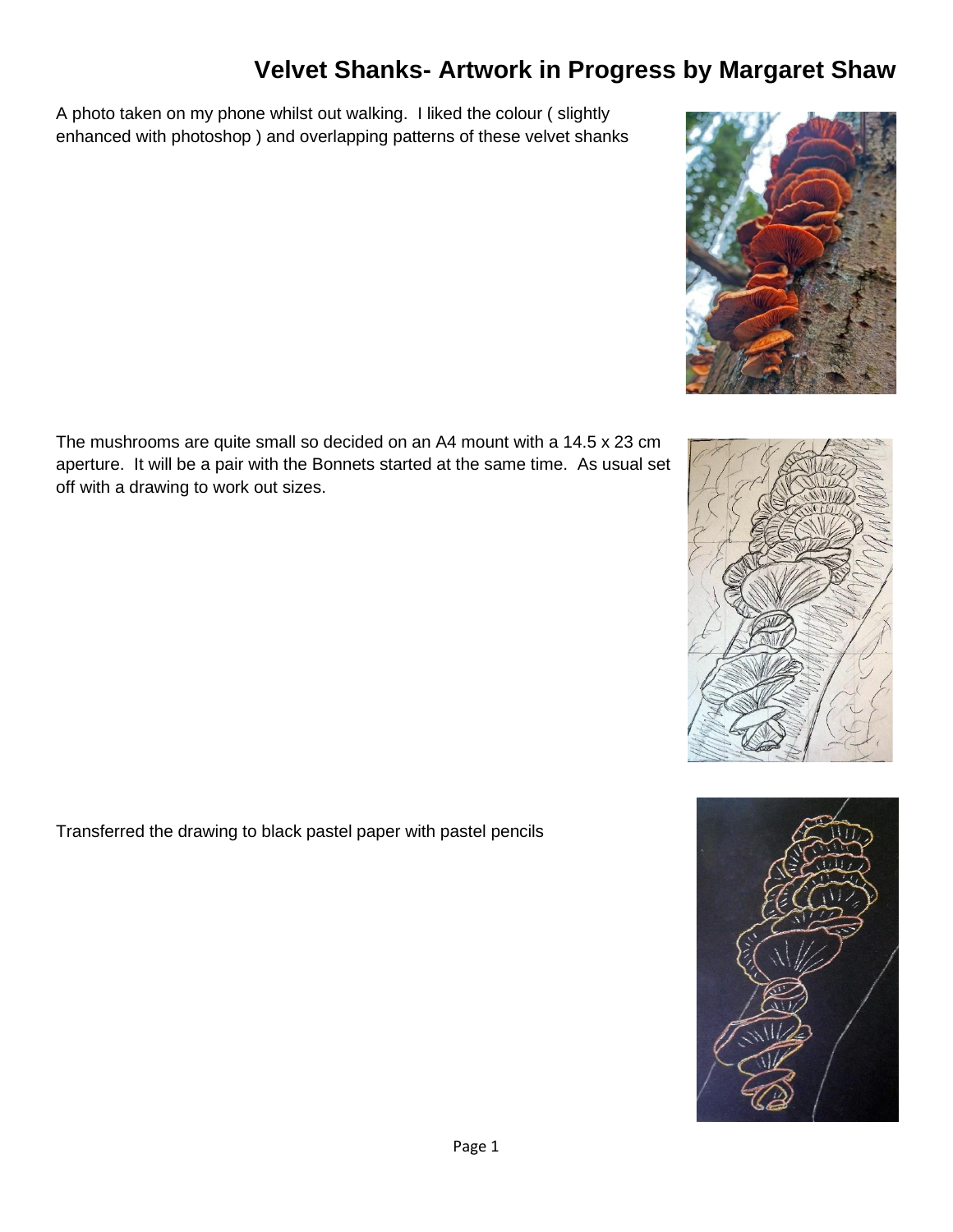## **Velvet Shanks- Artwork in Progress by Margaret Shaw**

A photo taken on my phone whilst out walking. I liked the colour ( slightly enhanced with photoshop ) and overlapping patterns of these velvet shanks



Transferred the drawing to black pastel paper with pastel pencils





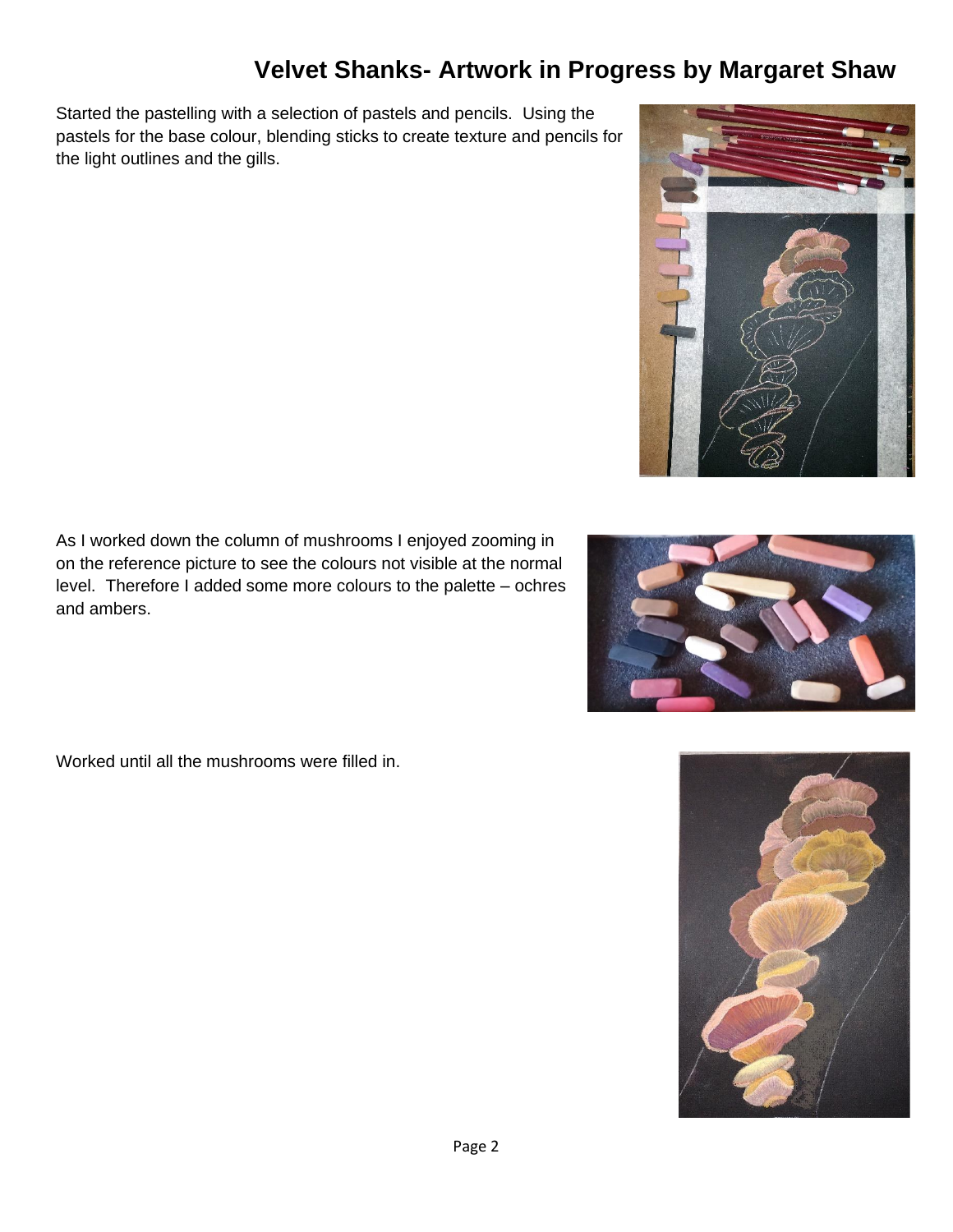## **Velvet Shanks- Artwork in Progress by Margaret Shaw**

Started the pastelling with a selection of pastels and pencils. Using the pastels for the base colour, blending sticks to create texture and pencils for the light outlines and the gills.

As I worked down the column of mushrooms I enjoyed zooming in on the reference picture to see the colours not visible at the normal level. Therefore I added some more colours to the palette – ochres and ambers.

Worked until all the mushrooms were filled in.